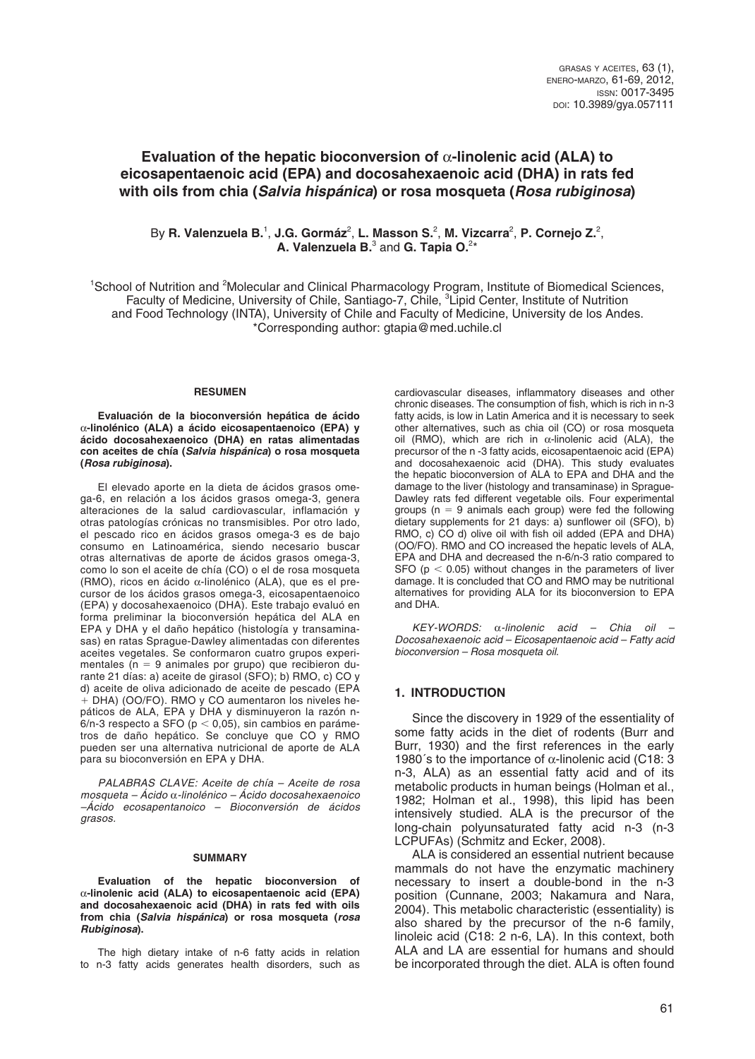# **Evaluation of the hepatic bioconversion of** a**-linolenic acid (ALA) to eicosapentaenoic acid (EPA) and docosahexaenoic acid (DHA) in rats fed with oils from chia (***Salvia hispánica***) or rosa mosqueta (***Rosa rubiginosa***)**

By R. Valenzuela B.<sup>1</sup>, J.G. Gormáz<sup>2</sup>, L. Masson S.<sup>2</sup>, M. Vizcarra<sup>2</sup>, P. Cornejo Z.<sup>2</sup>, A. Valenzuela B.<sup>3</sup> and G. Tapia O.<sup>2\*</sup>

<sup>1</sup>School of Nutrition and <sup>2</sup>Molecular and Clinical Pharmacology Program, Institute of Biomedical Sciences, Faculty of Medicine, University of Chile, Santiago-7, Chile, <sup>3</sup>Lipid Center, Institute of Nutrition and Food Technology (INTA), University of Chile and Faculty of Medicine, University de los Andes. \*Corresponding author: gtapia@med.uchile.cl

#### **RESUMEN**

**Evaluación de la bioconversión hepática de ácido**  α**-linolénico (ALA) a ácido eicosapentaenoico (EPA) y ácido docosahexaenoico (DHA) en ratas alimentadas con aceites de chía (***Salvia hispánica***) o rosa mosqueta (***Rosa rubiginosa***).**

El elevado aporte en la dieta de ácidos grasos omega-6, en relación a los ácidos grasos omega-3, genera alteraciones de la salud cardiovascular, inflamación y otras patologías crónicas no transmisibles. Por otro lado, el pescado rico en ácidos grasos omega-3 es de bajo consumo en Latinoamérica, siendo necesario buscar otras alternativas de aporte de ácidos grasos omega-3, como lo son el aceite de chía (CO) o el de rosa mosqueta (RMO), ricos en ácido α-linolénico (ALA), que es el precursor de los ácidos grasos omega-3, eicosapentaenoico (EPA) y docosahexaenoico (DHA). Este trabajo evaluó en forma preliminar la bioconversión hepática del ALA en EPA y DHA y el daño hepático (histología y transaminasas) en ratas Sprague-Dawley alimentadas con diferentes aceites vegetales. Se conformaron cuatro grupos experimentales ( $n = 9$  animales por grupo) que recibieron durante 21 días: a) aceite de girasol (SFO); b) RMO, c) CO y d) aceite de oliva adicionado de aceite de pescado (EPA + DHA) (OO/FO). RMO y CO aumentaron los niveles hepáticos de ALA, EPA y DHA y disminuyeron la razón n- $6/n-3$  respecto a SFO ( $p < 0.05$ ), sin cambios en parámetros de daño hepático. Se concluye que CO y RMO pueden ser una alternativa nutricional de aporte de ALA para su bioconversión en EPA y DHA.

*PALABRAS CLAVE: Aceite de chía – Aceite de rosa mosqueta – Ácido* α*-linolénico – Ácido docosahexaenoico –Ácido ecosapentanoico – Bioconversión de ácidos grasos.*

#### **SUMMARY**

**Evaluation of the hepatic bioconversion of**  α**-linolenic acid (ALA) to eicosapentaenoic acid (EPA) and docosahexaenoic acid (DHA) in rats fed with oils from chia (***Salvia hispánica***) or rosa mosqueta (***rosa Rubiginosa***).**

The high dietary intake of n-6 fatty acids in relation to n-3 fatty acids generates health disorders, such as

cardiovascular diseases, inflammatory diseases and other chronic diseases. The consumption of fish, which is rich in n-3 fatty acids, is low in Latin America and it is necessary to seek other alternatives, such as chia oil (CO) or rosa mosqueta oil (RMO), which are rich in  $α$ -linolenic acid (ALA), the precursor of the n -3 fatty acids, eicosapentaenoic acid (EPA) and docosahexaenoic acid (DHA). This study evaluates the hepatic bioconversion of ALA to EPA and DHA and the damage to the liver (histology and transaminase) in Sprague-Dawley rats fed different vegetable oils. Four experimental groups ( $n = 9$  animals each group) were fed the following dietary supplements for 21 days: a) sunflower oil (SFO), b) RMO, c) CO d) olive oil with fish oil added (EPA and DHA) (OO/FO). RMO and CO increased the hepatic levels of ALA, EPA and DHA and decreased the n-6/n-3 ratio compared to SFO ( $p < 0.05$ ) without changes in the parameters of liver damage. It is concluded that CO and RMO may be nutritional alternatives for providing ALA for its bioconversion to EPA and DHA.

*KEY-WORDS:* α*-linolenic acid – Chia oil – Docosahexaenoic acid – Eicosapentaenoic acid – Fatty acid bioconversion – Rosa mosqueta oil.* 

#### **1. INTRODUCTION**

Since the discovery in 1929 of the essentiality of some fatty acids in the diet of rodents (Burr and Burr, 1930) and the first references in the early 1980's to the importance of  $\alpha$ -linolenic acid (C18: 3 n-3, ALA) as an essential fatty acid and of its metabolic products in human beings (Holman et al., 1982; Holman et al., 1998), this lipid has been intensively studied. ALA is the precursor of the long-chain polyunsaturated fatty acid n-3 (n-3 LCPUFAs) (Schmitz and Ecker, 2008).

ALA is considered an essential nutrient because mammals do not have the enzymatic machinery necessary to insert a double-bond in the n-3 position (Cunnane, 2003; Nakamura and Nara, 2004). This metabolic characteristic (essentiality) is also shared by the precursor of the n-6 family, linoleic acid (C18: 2 n-6, LA). In this context, both ALA and LA are essential for humans and should be incorporated through the diet. ALA is often found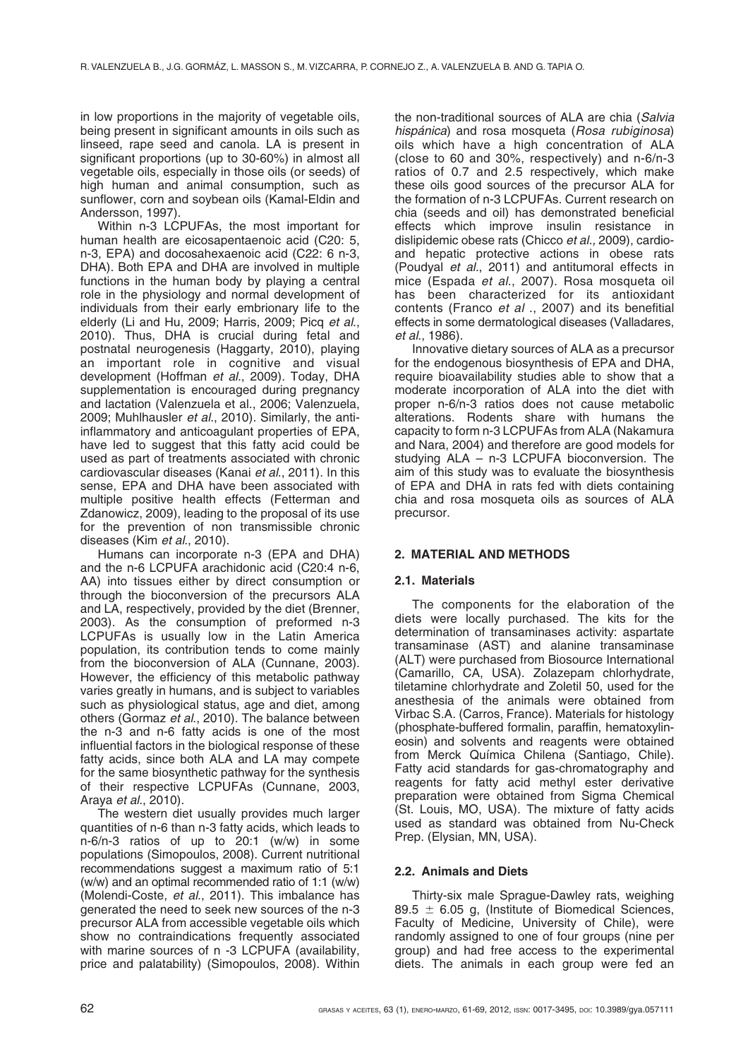in low proportions in the majority of vegetable oils, being present in significant amounts in oils such as linseed, rape seed and canola. LA is present in significant proportions (up to 30-60%) in almost all vegetable oils, especially in those oils (or seeds) of high human and animal consumption, such as sunflower, corn and soybean oils (Kamal-Eldin and Andersson, 1997).

Within n-3 LCPUFAs, the most important for human health are eicosapentaenoic acid (C20: 5, n-3, EPA) and docosahexaenoic acid (C22: 6 n-3, DHA). Both EPA and DHA are involved in multiple functions in the human body by playing a central role in the physiology and normal development of individuals from their early embrionary life to the elderly (Li and Hu, 2009; Harris, 2009; Picq *et al*., 2010). Thus, DHA is crucial during fetal and postnatal neurogenesis (Haggarty, 2010), playing an important role in cognitive and visual development (Hoffman *et al*., 2009). Today, DHA supplementation is encouraged during pregnancy and lactation (Valenzuela et al., 2006; Valenzuela, 2009; Muhlhausler *et al*., 2010). Similarly, the antiinflammatory and anticoagulant properties of EPA, have led to suggest that this fatty acid could be used as part of treatments associated with chronic cardiovascular diseases (Kanai *et al*., 2011). In this sense, EPA and DHA have been associated with multiple positive health effects (Fetterman and Zdanowicz, 2009), leading to the proposal of its use for the prevention of non transmissible chronic diseases (Kim *et al*., 2010).

Humans can incorporate n-3 (EPA and DHA) and the n-6 LCPUFA arachidonic acid (C20:4 n-6, AA) into tissues either by direct consumption or through the bioconversion of the precursors ALA and LA, respectively, provided by the diet (Brenner, 2003). As the consumption of preformed n-3 LCPUFAs is usually low in the Latin America population, its contribution tends to come mainly from the bioconversion of ALA (Cunnane, 2003). However, the efficiency of this metabolic pathway varies greatly in humans, and is subject to variables such as physiological status, age and diet, among others (Gormaz *et al*., 2010). The balance between the n-3 and n-6 fatty acids is one of the most influential factors in the biological response of these fatty acids, since both ALA and LA may compete for the same biosynthetic pathway for the synthesis of their respective LCPUFAs (Cunnane, 2003, Araya *et al*., 2010).

The western diet usually provides much larger quantities of n-6 than n-3 fatty acids, which leads to n-6/n-3 ratios of up to 20:1 (w/w) in some populations (Simopoulos, 2008). Current nutritional recommendations suggest a maximum ratio of 5:1 (w/w) and an optimal recommended ratio of 1:1 (w/w) (Molendi-Coste, *et al*., 2011). This imbalance has generated the need to seek new sources of the n-3 precursor ALA from accessible vegetable oils which show no contraindications frequently associated with marine sources of n -3 LCPUFA (availability, price and palatability) (Simopoulos, 2008). Within the non-traditional sources of ALA are chia (*Salvia hispánica*) and rosa mosqueta (*Rosa rubiginosa*) oils which have a high concentration of ALA (close to 60 and 30%, respectively) and n-6/n-3 ratios of 0.7 and 2.5 respectively, which make these oils good sources of the precursor ALA for the formation of n-3 LCPUFAs. Current research on chia (seeds and oil) has demonstrated beneficial effects which improve insulin resistance in dislipidemic obese rats (Chicco *et al.,* 2009), cardioand hepatic protective actions in obese rats (Poudyal *et al.*, 2011) and antitumoral effects in mice (Espada *et al*., 2007). Rosa mosqueta oil has been characterized for its antioxidant contents (Franco *et al* ., 2007) and its benefitial effects in some dermatological diseases (Valladares, *et al*., 1986).

Innovative dietary sources of ALA as a precursor for the endogenous biosynthesis of EPA and DHA, require bioavailability studies able to show that a moderate incorporation of ALA into the diet with proper n-6/n-3 ratios does not cause metabolic alterations. Rodents share with humans the capacity to form n-3 LCPUFAs from ALA (Nakamura and Nara, 2004) and therefore are good models for studying ALA – n-3 LCPUFA bioconversion. The aim of this study was to evaluate the biosynthesis of EPA and DHA in rats fed with diets containing chia and rosa mosqueta oils as sources of ALA precursor.

## **2. MATERIAL AND METHODS**

## **2.1. Materials**

The components for the elaboration of the diets were locally purchased. The kits for the determination of transaminases activity: aspartate transaminase (AST) and alanine transaminase (ALT) were purchased from Biosource International (Camarillo, CA, USA). Zolazepam chlorhydrate, tiletamine chlorhydrate and Zoletil 50, used for the anesthesia of the animals were obtained from Virbac S.A. (Carros, France). Materials for histology (phosphate-buffered formalin, paraffin, hematoxylineosin) and solvents and reagents were obtained from Merck Química Chilena (Santiago, Chile). Fatty acid standards for gas-chromatography and reagents for fatty acid methyl ester derivative preparation were obtained from Sigma Chemical (St. Louis, MO, USA). The mixture of fatty acids used as standard was obtained from Nu-Check Prep. (Elysian, MN, USA).

## **2.2. Animals and Diets**

Thirty-six male Sprague-Dawley rats, weighing 89.5  $\pm$  6.05 g, (Institute of Biomedical Sciences, Faculty of Medicine, University of Chile), were randomly assigned to one of four groups (nine per group) and had free access to the experimental diets. The animals in each group were fed an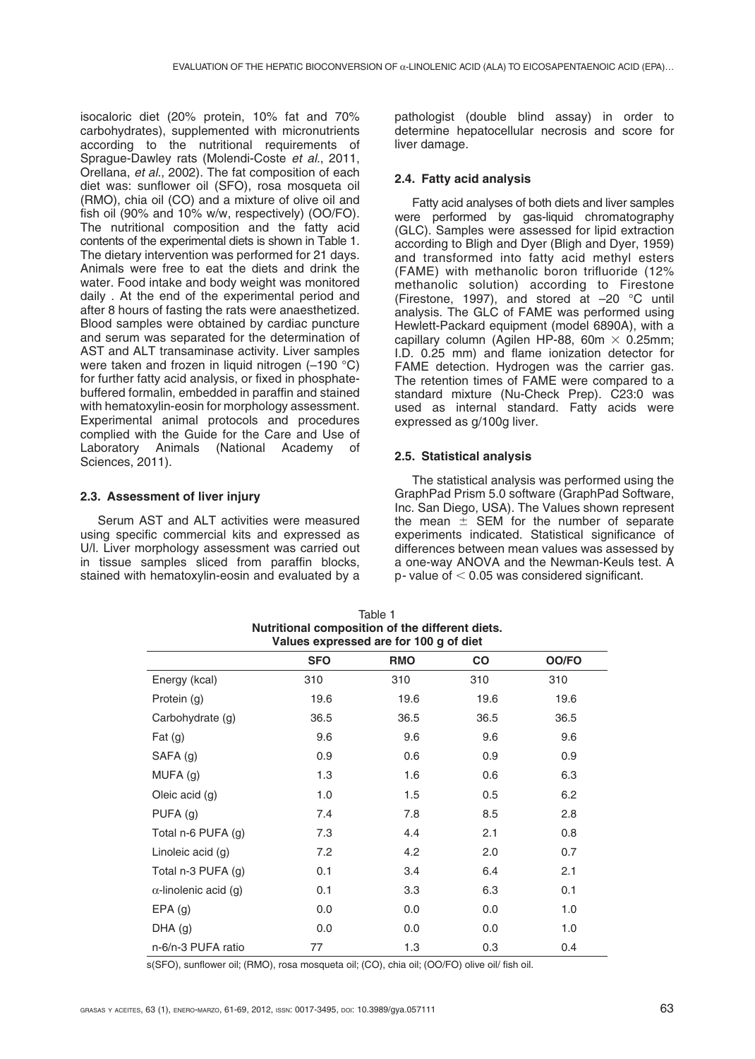isocaloric diet (20% protein, 10% fat and 70% carbohydrates), supplemented with micronutrients according to the nutritional requirements of Sprague-Dawley rats (Molendi-Coste *et al.*, 2011, Orellana, *et al*., 2002). The fat composition of each diet was: sunflower oil (SFO), rosa mosqueta oil (RMO), chia oil (CO) and a mixture of olive oil and fish oil (90% and 10% w/w, respectively) (OO/FO). The nutritional composition and the fatty acid contents of the experimental diets is shown in Table 1. The dietary intervention was performed for 21 days. Animals were free to eat the diets and drink the water. Food intake and body weight was monitored daily . At the end of the experimental period and after 8 hours of fasting the rats were anaesthetized. Blood samples were obtained by cardiac puncture and serum was separated for the determination of AST and ALT transaminase activity. Liver samples were taken and frozen in liquid nitrogen (-190 °C) for further fatty acid analysis, or fixed in phosphatebuffered formalin, embedded in paraffin and stained with hematoxylin-eosin for morphology assessment. Experimental animal protocols and procedures complied with the Guide for the Care and Use of Laboratory Animals (National Academy of Sciences, 2011).

## **2.3. Assessment of liver injury**

Serum AST and ALT activities were measured using specific commercial kits and expressed as U/l. Liver morphology assessment was carried out in tissue samples sliced from paraffin blocks, stained with hematoxylin-eosin and evaluated by a pathologist (double blind assay) in order to determine hepatocellular necrosis and score for liver damage.

## **2.4. Fatty acid analysis**

Fatty acid analyses of both diets and liver samples were performed by gas-liquid chromatography (GLC). Samples were assessed for lipid extraction according to Bligh and Dyer (Bligh and Dyer, 1959) and transformed into fatty acid methyl esters (FAME) with methanolic boron trifluoride (12% methanolic solution) according to Firestone (Firestone, 1997), and stored at –20 °C until analysis. The GLC of FAME was performed using Hewlett-Packard equipment (model 6890A), with a capillary column (Agilen HP-88, 60m  $\times$  0.25mm; I.D. 0.25 mm) and flame ionization detector for FAME detection. Hydrogen was the carrier gas. The retention times of FAME were compared to a standard mixture (Nu-Check Prep). C23:0 was used as internal standard. Fatty acids were expressed as g/100g liver.

## **2.5. Statistical analysis**

The statistical analysis was performed using the GraphPad Prism 5.0 software (GraphPad Software, Inc. San Diego, USA). The Values shown represent the mean  $\pm$  SEM for the number of separate experiments indicated. Statistical significance of differences between mean values was assessed by a one-way ANOVA and the Newman-Keuls test. A  $p$ - value of  $< 0.05$  was considered significant.

| Values expressed are for 100 g of diet |            |            |           |       |
|----------------------------------------|------------|------------|-----------|-------|
|                                        | <b>SFO</b> | <b>RMO</b> | <b>CO</b> | OO/FO |
| Energy (kcal)                          | 310        | 310        | 310       | 310   |
| Protein (g)                            | 19.6       | 19.6       | 19.6      | 19.6  |
| Carbohydrate (g)                       | 36.5       | 36.5       | 36.5      | 36.5  |
| Fat $(g)$                              | 9.6        | 9.6        | 9.6       | 9.6   |
| SAFA (g)                               | 0.9        | 0.6        | 0.9       | 0.9   |
| MUFA (g)                               | 1.3        | 1.6        | 0.6       | 6.3   |
| Oleic acid (g)                         | 1.0        | 1.5        | 0.5       | 6.2   |
| PUFA(g)                                | 7.4        | 7.8        | 8.5       | 2.8   |
| Total n-6 PUFA (g)                     | 7.3        | 4.4        | 2.1       | 0.8   |
| Linoleic acid (g)                      | 7.2        | 4.2        | 2.0       | 0.7   |
| Total n-3 PUFA (g)                     | 0.1        | 3.4        | 6.4       | 2.1   |
| $\alpha$ -linolenic acid (g)           | 0.1        | 3.3        | 6.3       | 0.1   |
| $EPA$ (g)                              | 0.0        | 0.0        | 0.0       | 1.0   |
| DHA(g)                                 | 0.0        | 0.0        | 0.0       | 1.0   |
| n-6/n-3 PUFA ratio                     | 77         | 1.3        | 0.3       | 0.4   |

Table 1 **Nutritional composition of the different diets.** 

s(SFO), sunflower oil; (RMO), rosa mosqueta oil; (CO), chia oil; (OO/FO) olive oil/ fish oil.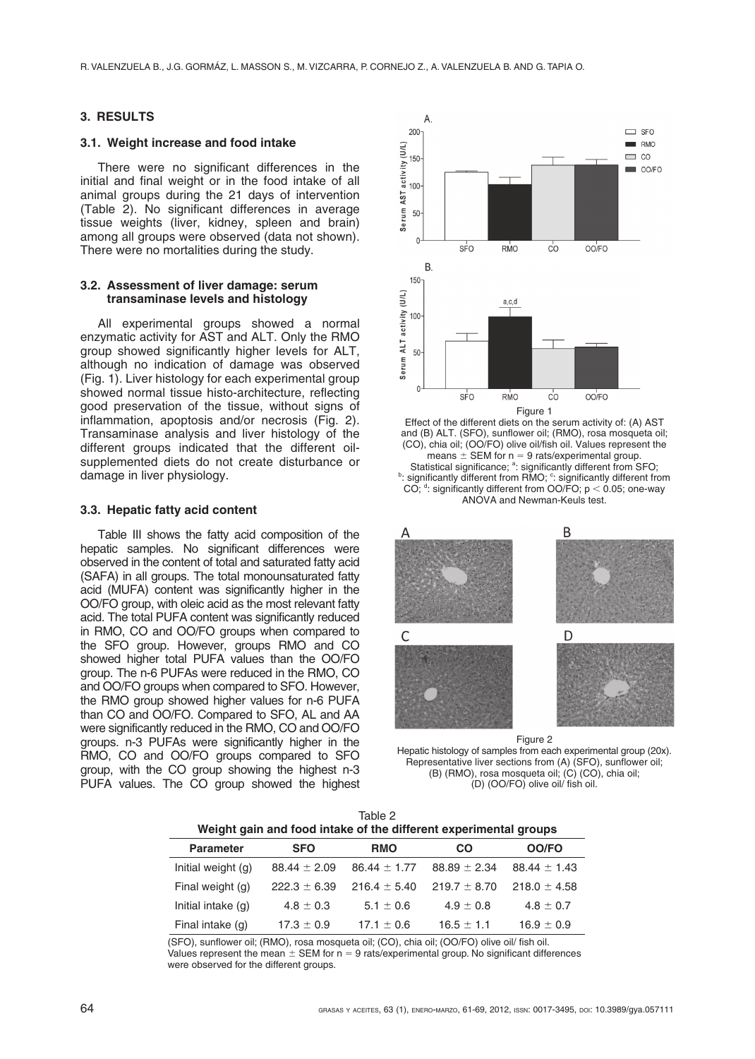### **3. RESULTS**

### **3.1. Weight increase and food intake**

There were no significant differences in the initial and final weight or in the food intake of all animal groups during the 21 days of intervention (Table 2). No significant differences in average tissue weights (liver, kidney, spleen and brain) among all groups were observed (data not shown). There were no mortalities during the study.

### **3.2. Assessment of liver damage: serum transaminase levels and histology**

All experimental groups showed a normal enzymatic activity for AST and ALT. Only the RMO group showed significantly higher levels for ALT, although no indication of damage was observed (Fig. 1). Liver histology for each experimental group showed normal tissue histo-architecture, reflecting good preservation of the tissue, without signs of inflammation, apoptosis and/or necrosis (Fig. 2). Transaminase analysis and liver histology of the different groups indicated that the different oilsupplemented diets do not create disturbance or damage in liver physiology.

### **3.3. Hepatic fatty acid content**

Table III shows the fatty acid composition of the hepatic samples. No significant differences were observed in the content of total and saturated fatty acid (SAFA) in all groups. The total monounsaturated fatty acid (MUFA) content was significantly higher in the OO/FO group, with oleic acid as the most relevant fatty acid. The total PUFA content was significantly reduced in RMO, CO and OO/FO groups when compared to the SFO group. However, groups RMO and CO showed higher total PUFA values than the OO/FO group. The n-6 PUFAs were reduced in the RMO, CO and OO/FO groups when compared to SFO. However, the RMO group showed higher values for n-6 PUFA than CO and OO/FO. Compared to SFO, AL and AA were significantly reduced in the RMO, CO and OO/FO groups. n-3 PUFAs were significantly higher in the RMO, CO and OO/FO groups compared to SFO group, with the CO group showing the highest n-3 PUFA values. The CO group showed the highest



Effect of the different diets on the serum activity of: (A) AST and (B) ALT. (SFO), sunflower oil; (RMO), rosa mosqueta oil; (CO), chia oil; (OO/FO) olive oil/fish oil. Values represent the means  $\pm$  SEM for n = 9 rats/experimental group. Statistical significance; <sup>a</sup>: significantly different from SFO; Statistical significance; <sup>a</sup>: significantly different from SFO;<br><sup>b</sup>: significantly different from RMO; <sup>c</sup>: significantly different from CO;  $d$ : significantly different from OO/FO;  $p < 0.05$ ; one-way ANOVA and Newman-Keuls test.



Figure 2 Hepatic histology of samples from each experimental group (20x). Representative liver sections from (A) (SFO), sunflower oil; (B) (RMO), rosa mosqueta oil; (C) (CO), chia oil; (D) (OO/FO) olive oil/ fish oil.

| Table 2                                                          |  |
|------------------------------------------------------------------|--|
| Weight gain and food intake of the different experimental groups |  |

| <b>Parameter</b>   | <b>SFO</b>       | <b>RMO</b>       | <b>CO</b>        | OO/FO            |
|--------------------|------------------|------------------|------------------|------------------|
| Initial weight (g) | $88.44 \pm 2.09$ | $86.44 \pm 1.77$ | $88.89 \pm 2.34$ | $88.44 \pm 1.43$ |
| Final weight (g)   | $222.3 \pm 6.39$ | $216.4 \pm 5.40$ | $219.7 \pm 8.70$ | $218.0 \pm 4.58$ |
| Initial intake (g) | $4.8 \pm 0.3$    | $5.1 \pm 0.6$    | $4.9 \pm 0.8$    | $4.8 \pm 0.7$    |
| Final intake (g)   | $17.3 \pm 0.9$   | $17.1 \pm 0.6$   | $16.5 \pm 1.1$   | $16.9 \pm 0.9$   |

(SFO), sunflower oil; (RMO), rosa mosqueta oil; (CO), chia oil; (OO/FO) olive oil/ fish oil.

Values represent the mean  $\pm$  SEM for n = 9 rats/experimental group. No significant differences were observed for the different groups.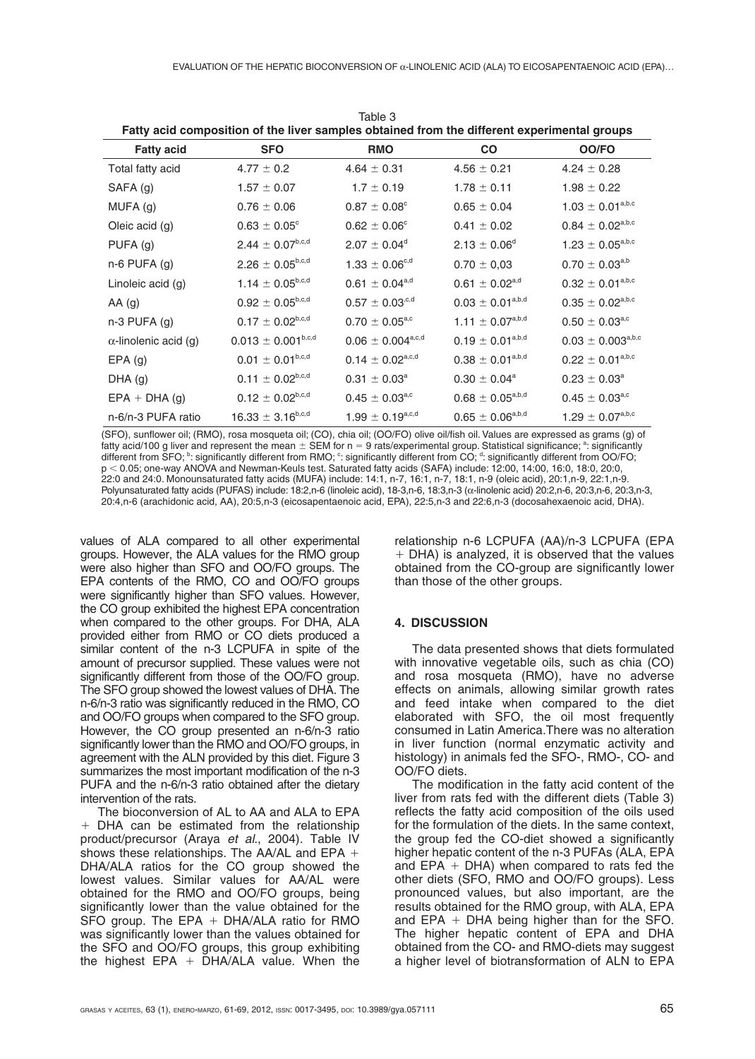| Fatty acid composition of the liver samples obtained from the different experimental groups |                                |                                 |                                |                                    |
|---------------------------------------------------------------------------------------------|--------------------------------|---------------------------------|--------------------------------|------------------------------------|
| <b>Fatty acid</b>                                                                           | <b>SFO</b>                     | <b>RMO</b>                      | <b>CO</b>                      | OO/FO                              |
| Total fatty acid                                                                            | $4.77 \pm 0.2$                 | $4.64 \pm 0.31$                 | $4.56 \pm 0.21$                | $4.24 \pm 0.28$                    |
| SAFA (g)                                                                                    | $1.57 \pm 0.07$                | $1.7 \pm 0.19$                  | $1.78 \pm 0.11$                | $1.98 \pm 0.22$                    |
| MUFA (g)                                                                                    | $0.76 \pm 0.06$                | $0.87 \pm 0.08^{\circ}$         | $0.65 \pm 0.04$                | $1.03 \pm 0.01^{\rm a,b,c}$        |
| Oleic acid (g)                                                                              | $0.63 \pm 0.05^{\circ}$        | $0.62 \pm 0.06^{\circ}$         | $0.41 \pm 0.02$                | $0.84 \pm 0.02^{\text{a,b,c}}$     |
| PUFA (g)                                                                                    | $2.44 \pm 0.07^{b,c,d}$        | $2.07 \pm 0.04^d$               | $2.13 \pm 0.06^d$              | $1.23\,\pm\,0.05^{\mathrm{a,b,c}}$ |
| $n-6$ PUFA $(g)$                                                                            | $2.26 \pm 0.05^{b,c,d}$        | $1.33 \pm 0.06^{c,d}$           | $0.70 \pm 0.03$                | $0.70 \pm 0.03^{a,b}$              |
| Linoleic acid (g)                                                                           | $1.14 \pm 0.05^{b,c,d}$        | $0.61 \pm 0.04^{\text{a,d}}$    | $0.61 \pm 0.02^{\text{a,d}}$   | $0.32 \pm 0.01^{a,b,c}$            |
| AA(g)                                                                                       | $0.92 \pm 0.05^{b,c,d}$        | $0.57 \pm 0.03^{\text{c,d}}$    | $0.03 \pm 0.01^{a,b,d}$        | $0.35 \pm 0.02^{\text{a,b,c}}$     |
| $n-3$ PUFA $(g)$                                                                            | $0.17 \pm 0.02^{b,c,d}$        | $0.70 \pm 0.05^{\text{a,c}}$    | $1.11 \pm 0.07^{a,b,d}$        | $0.50\,\pm\,0.03^{\rm a,c}$        |
| $\alpha$ -linolenic acid (g)                                                                | $0.013 \pm 0.001^{b,c,d}$      | $0.06 \pm 0.004^{\text{a,c,d}}$ | $0.19 \pm 0.01^{a,b,d}$        | $0.03 \pm 0.003^{\rm a,b,c}$       |
| $EPA$ (g)                                                                                   | $0.01 \pm 0.01^{\rm b,c,d}$    | $0.14 \pm 0.02^{\text{a,c,d}}$  | $0.38 \pm 0.01^{a,b,d}$        | $0.22 \pm 0.01^{\rm a,b,c}$        |
| $DHA$ (g)                                                                                   | $0.11 \pm 0.02^{b,c,d}$        | $0.31 \pm 0.03^a$               | $0.30 \pm 0.04^{\text{a}}$     | $0.23 \pm 0.03^{\circ}$            |
| $EPA + DHA(g)$                                                                              | $0.12 \pm 0.02^{\text{b,c,d}}$ | $0.45 \pm 0.03^{\text{a,c}}$    | $0.68 \pm 0.05^{\text{a,b,d}}$ | $0.45 \pm 0.03^{\rm a,c}$          |
| n-6/n-3 PUFA ratio                                                                          | $16.33 \pm 3.16^{b,c,d}$       | $1.99 \pm 0.19^{a,c,d}$         | $0.65 \pm 0.06^{a,b,d}$        | $1.29 \pm 0.07^{a,b,c}$            |

Table 2

(SFO), sunflower oil; (RMO), rosa mosqueta oil; (CO), chia oil; (OO/FO) olive oil/fish oil. Values are expressed as grams (g) of fatty acid/100 g liver and represent the mean  $\pm$  SEM for n = 9 rats/experimental group. Statistical significance; <sup>a</sup>: significantly<br>different from SFO; <sup>b</sup>: significantly different from RMO; <sup>c</sup>: significantly different p 0.05; one-way ANOVA and Newman-Keuls test. Saturated fatty acids (SAFA) include: 12:00, 14:00, 16:0, 18:0, 20:0, 22:0 and 24:0. Monounsaturated fatty acids (MUFA) include: 14:1, n-7, 16:1, n-7, 18:1, n-9 (oleic acid), 20:1,n-9, 22:1,n-9. Polyunsaturated fatty acids (PUFAS) include: 18:2,n-6 (linoleic acid), 18-3,n-6, 18:3,n-3 (α-linolenic acid) 20:2,n-6, 20:3,n-6, 20:3,n-3, 20:4,n-6 (arachidonic acid, AA), 20:5,n-3 (eicosapentaenoic acid, EPA), 22:5,n-3 and 22:6,n-3 (docosahexaenoic acid, DHA).

values of ALA compared to all other experimental groups. However, the ALA values for the RMO group were also higher than SFO and OO/FO groups. The EPA contents of the RMO, CO and OO/FO groups were significantly higher than SFO values. However, the CO group exhibited the highest EPA concentration when compared to the other groups. For DHA, ALA provided either from RMO or CO diets produced a similar content of the n-3 LCPUFA in spite of the amount of precursor supplied. These values were not significantly different from those of the OO/FO group. The SFO group showed the lowest values of DHA. The n-6/n-3 ratio was significantly reduced in the RMO, CO and OO/FO groups when compared to the SFO group. However, the CO group presented an n-6/n-3 ratio significantly lower than the RMO and OO/FO groups, in agreement with the ALN provided by this diet. Figure 3 summarizes the most important modification of the n-3 PUFA and the n-6/n-3 ratio obtained after the dietary intervention of the rats.

The bioconversion of AL to AA and ALA to EPA  $+$  DHA can be estimated from the relationship product/precursor (Araya *et al*., 2004). Table IV shows these relationships. The AA/AL and EPA  $+$ DHA/ALA ratios for the CO group showed the lowest values. Similar values for AA/AL were obtained for the RMO and OO/FO groups, being significantly lower than the value obtained for the SFO group. The EPA  $+$  DHA/ALA ratio for RMO was significantly lower than the values obtained for the SFO and OO/FO groups, this group exhibiting the highest  $EPA + DHA/ALA$  value. When the relationship n-6 LCPUFA (AA)/n-3 LCPUFA (EPA  $+$  DHA) is analyzed, it is observed that the values obtained from the CO-group are significantly lower than those of the other groups.

## **4. DISCUSSION**

The data presented shows that diets formulated with innovative vegetable oils, such as chia (CO) and rosa mosqueta (RMO), have no adverse effects on animals, allowing similar growth rates and feed intake when compared to the diet elaborated with SFO, the oil most frequently consumed in Latin America.There was no alteration in liver function (normal enzymatic activity and histology) in animals fed the SFO-, RMO-, CO- and OO/FO diets.

The modification in the fatty acid content of the liver from rats fed with the different diets (Table 3) reflects the fatty acid composition of the oils used for the formulation of the diets. In the same context, the group fed the CO-diet showed a significantly higher hepatic content of the n-3 PUFAs (ALA, EPA and EPA  $+$  DHA) when compared to rats fed the other diets (SFO, RMO and OO/FO groups). Less pronounced values, but also important, are the results obtained for the RMO group, with ALA, EPA and EPA  $+$  DHA being higher than for the SFO. The higher hepatic content of EPA and DHA obtained from the CO- and RMO-diets may suggest a higher level of biotransformation of ALN to EPA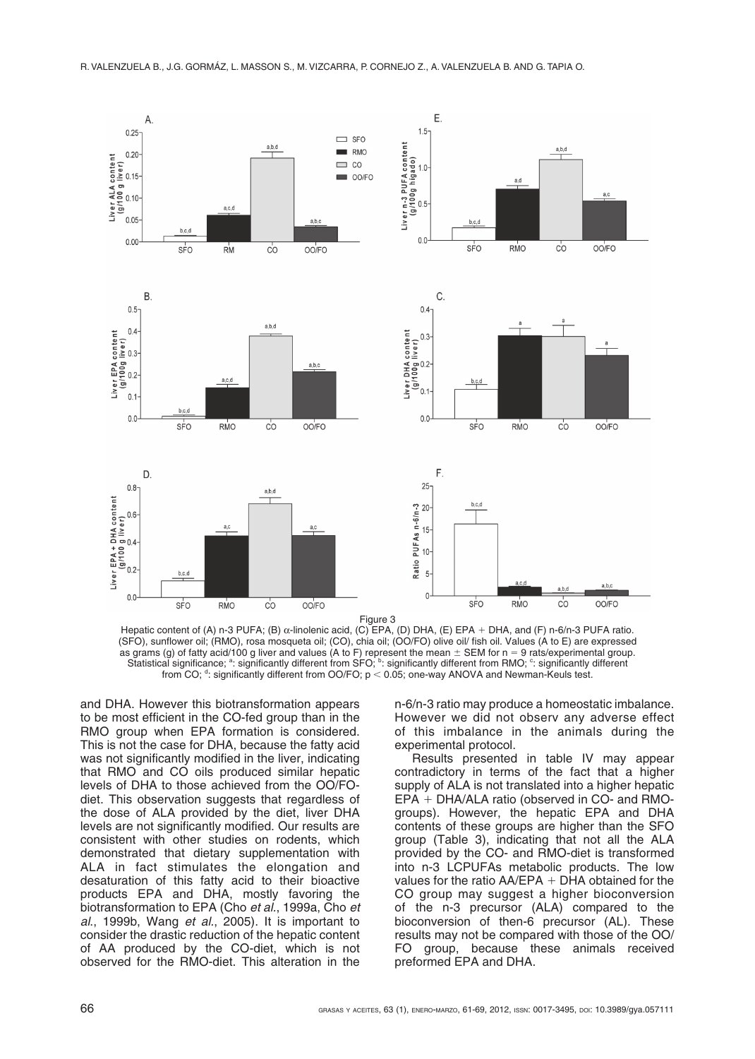

Hepatic content of (A) n-3 PUFA; (B) α-linolenic acid, (C) EPA, (D) DHA, (E) EPA + DHA, and (F) n-6/n-3 PUFA ratio. (SFO), sunflower oil; (RMO), rosa mosqueta oil; (CO), chia oil; (OO/FO) olive oil/ fish oil. Values (A to E) are expressed as grams (g) of fatty acid/100 g liver and values (A to F) represent the mean  $\pm$  SEM for n = 9 rats/experimental group. Statistical significance; <sup>a</sup>: significantly different from SFO; <sup>b</sup>: significantly different from RMO; <sup>c</sup>: significantly different from CO;  $d$ : significantly different from OO/FO;  $p < 0.05$ ; one-way ANOVA and Newman-Keuls test.

and DHA. However this biotransformation appears to be most efficient in the CO-fed group than in the RMO group when EPA formation is considered. This is not the case for DHA, because the fatty acid was not significantly modified in the liver, indicating that RMO and CO oils produced similar hepatic levels of DHA to those achieved from the OO/FOdiet. This observation suggests that regardless of the dose of ALA provided by the diet, liver DHA levels are not significantly modified. Our results are consistent with other studies on rodents, which demonstrated that dietary supplementation with ALA in fact stimulates the elongation and desaturation of this fatty acid to their bioactive products EPA and DHA, mostly favoring the biotransformation to EPA (Cho *et al.*, 1999a, Cho *et al*., 1999b, Wang *et al.*, 2005). It is important to consider the drastic reduction of the hepatic content of AA produced by the CO-diet, which is not observed for the RMO-diet. This alteration in the

n-6/n-3 ratio may produce a homeostatic imbalance. However we did not observ any adverse effect of this imbalance in the animals during the experimental protocol.

Results presented in table IV may appear contradictory in terms of the fact that a higher supply of ALA is not translated into a higher hepatic  $EPA + DHA/ALA$  ratio (observed in CO- and RMOgroups). However, the hepatic EPA and DHA contents of these groups are higher than the SFO group (Table 3), indicating that not all the ALA provided by the CO- and RMO-diet is transformed into n-3 LCPUFAs metabolic products. The low values for the ratio  $AA/EPA + DHA$  obtained for the CO group may suggest a higher bioconversion of the n-3 precursor (ALA) compared to the bioconversion of then-6 precursor (AL). These results may not be compared with those of the OO/ FO group, because these animals received preformed EPA and DHA.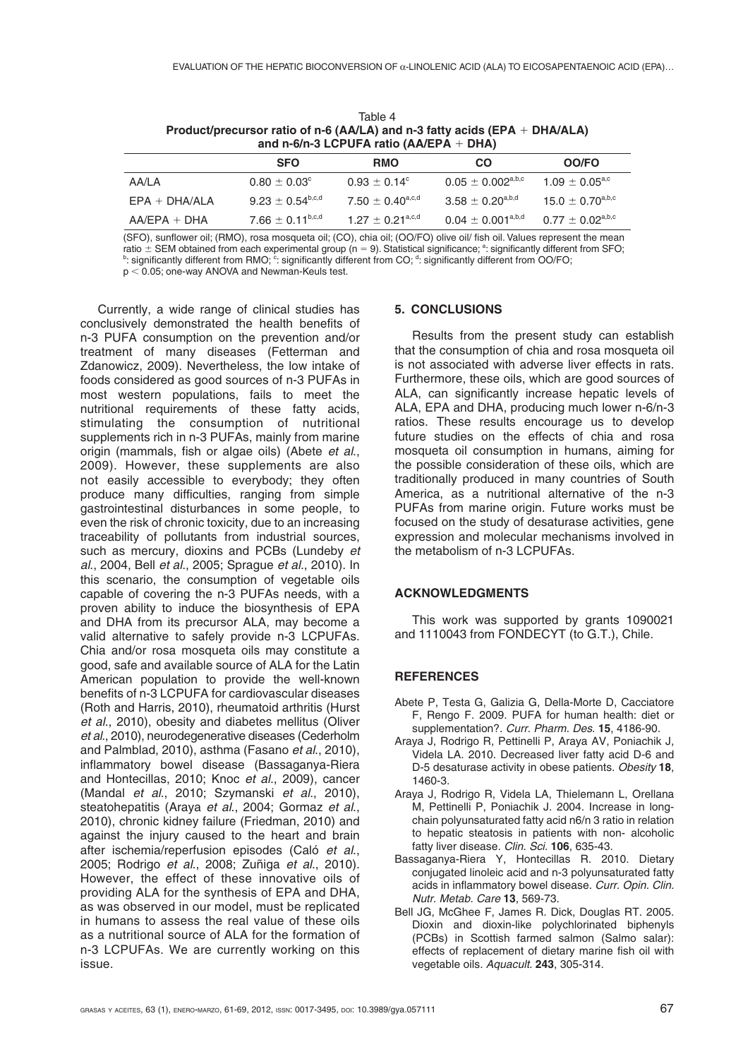| $17.77 \div 4$<br>Product/precursor ratio of n-6 (AA/LA) and n-3 fatty acids (EPA + DHA/ALA)<br>and n-6/n-3 LCPUFA ratio (AA/EPA + DHA) |                                  |                                |                              |                                |
|-----------------------------------------------------------------------------------------------------------------------------------------|----------------------------------|--------------------------------|------------------------------|--------------------------------|
|                                                                                                                                         | <b>SFO</b>                       | <b>RMO</b>                     | CO                           | OO/FO                          |
| AA/LA                                                                                                                                   | $0.80 \pm 0.03^{\circ}$          | $0.93 \pm 0.14^{\circ}$        | $0.05 \pm 0.002^{\rm a,b,c}$ | $1.09 \pm 0.05^{\text{a,c}}$   |
| $EPA + DHA/ALA$                                                                                                                         | $9.23 \pm 0.54^{\rm b,c,d}$      | $7.50 \pm 0.40^{\text{a,c,d}}$ | $3.58 \pm 0.20^{a,b,d}$      | $15.0 \pm 0.70^{a,b,c}$        |
| $AA/EPA + DHA$                                                                                                                          | 7.66 $\pm$ 0.11 <sup>b,c,d</sup> | $1.27 \pm 0.21^{\text{a,c,d}}$ | $0.04 \pm 0.001^{\rm a,b,d}$ | $0.77 \pm 0.02^{\text{a,b,c}}$ |

Table 4

(SFO), sunflower oil; (RMO), rosa mosqueta oil; (CO), chia oil; (OO/FO) olive oil/ fish oil. Values represent the mean ratio ± SEM obtained from each experimental group (n = 9). Statistical significance; <sup>a</sup>: significantly different from SFO;<br><sup>b</sup>: significantly different from RMO; <sup>c</sup>: significantly different from CO; <sup>d</sup>: significantly di  $p < 0.05$ ; one-way ANOVA and Newman-Keuls test.

Currently, a wide range of clinical studies has conclusively demonstrated the health benefits of n-3 PUFA consumption on the prevention and/or treatment of many diseases (Fetterman and Zdanowicz, 2009). Nevertheless, the low intake of foods considered as good sources of n-3 PUFAs in most western populations, fails to meet the nutritional requirements of these fatty acids, stimulating the consumption of nutritional supplements rich in n-3 PUFAs, mainly from marine origin (mammals, fish or algae oils) (Abete *et al*., 2009). However, these supplements are also not easily accessible to everybody; they often produce many difficulties, ranging from simple gastrointestinal disturbances in some people, to even the risk of chronic toxicity, due to an increasing traceability of pollutants from industrial sources, such as mercury, dioxins and PCBs (Lundeby *et al*., 2004, Bell *et al*., 2005; Sprague *et al*., 2010). In this scenario, the consumption of vegetable oils capable of covering the n-3 PUFAs needs, with a proven ability to induce the biosynthesis of EPA and DHA from its precursor ALA, may become a valid alternative to safely provide n-3 LCPUFAs. Chia and/or rosa mosqueta oils may constitute a good, safe and available source of ALA for the Latin American population to provide the well-known benefits of n-3 LCPUFA for cardiovascular diseases (Roth and Harris, 2010), rheumatoid arthritis (Hurst *et al*., 2010), obesity and diabetes mellitus (Oliver *et al*., 2010), neurodegenerative diseases (Cederholm and Palmblad, 2010), asthma (Fasano *et al*., 2010), inflammatory bowel disease (Bassaganya-Riera and Hontecillas, 2010; Knoc *et al*., 2009), cancer (Mandal *et al*., 2010; Szymanski *et al*., 2010), steatohepatitis (Araya *et al*., 2004; Gormaz *et al*., 2010), chronic kidney failure (Friedman, 2010) and against the injury caused to the heart and brain after ischemia/reperfusion episodes (Caló *et al*., 2005; Rodrigo *et al*., 2008; Zuñiga *et al*., 2010). However, the effect of these innovative oils of providing ALA for the synthesis of EPA and DHA, as was observed in our model, must be replicated in humans to assess the real value of these oils as a nutritional source of ALA for the formation of n-3 LCPUFAs. We are currently working on this issue.

## **5. CONCLUSIONS**

Results from the present study can establish that the consumption of chia and rosa mosqueta oil is not associated with adverse liver effects in rats. Furthermore, these oils, which are good sources of ALA, can significantly increase hepatic levels of ALA, EPA and DHA, producing much lower n-6/n-3 ratios. These results encourage us to develop future studies on the effects of chia and rosa mosqueta oil consumption in humans, aiming for the possible consideration of these oils, which are traditionally produced in many countries of South America, as a nutritional alternative of the n-3 PUFAs from marine origin. Future works must be focused on the study of desaturase activities, gene expression and molecular mechanisms involved in the metabolism of n-3 LCPUFAs.

### **ACKNOWLEDGMENTS**

This work was supported by grants 1090021 and 1110043 from FONDECYT (to G.T.), Chile.

## **REFERENCES**

- Abete P, Testa G, Galizia G, Della-Morte D, Cacciatore F, Rengo F. 2009. PUFA for human health: diet or supplementation?. *Curr. Pharm. Des*. **15**, 4186-90.
- Araya J, Rodrigo R, Pettinelli P, Araya AV, Poniachik J, Videla LA. 2010. Decreased liver fatty acid D-6 and D-5 desaturase activity in obese patients. *Obesity* **18**, 1460-3.
- Araya J, Rodrigo R, Videla LA, Thielemann L, Orellana M, Pettinelli P, Poniachik J. 2004. Increase in longchain polyunsaturated fatty acid n6/n 3 ratio in relation to hepatic steatosis in patients with non- alcoholic fatty liver disease. *Clin. Sci.* **106**, 635-43.
- Bassaganya-Riera Y, Hontecillas R. 2010. Dietary conjugated linoleic acid and n-3 polyunsaturated fatty acids in inflammatory bowel disease. *Curr. Opin. Clin. Nutr. Metab. Care* **13**, 569-73.
- Bell JG, McGhee F, James R. Dick, Douglas RT. 2005. Dioxin and dioxin-like polychlorinated biphenyls (PCBs) in Scottish farmed salmon (Salmo salar): effects of replacement of dietary marine fish oil with vegetable oils. *Aquacult.* **243**, 305-314.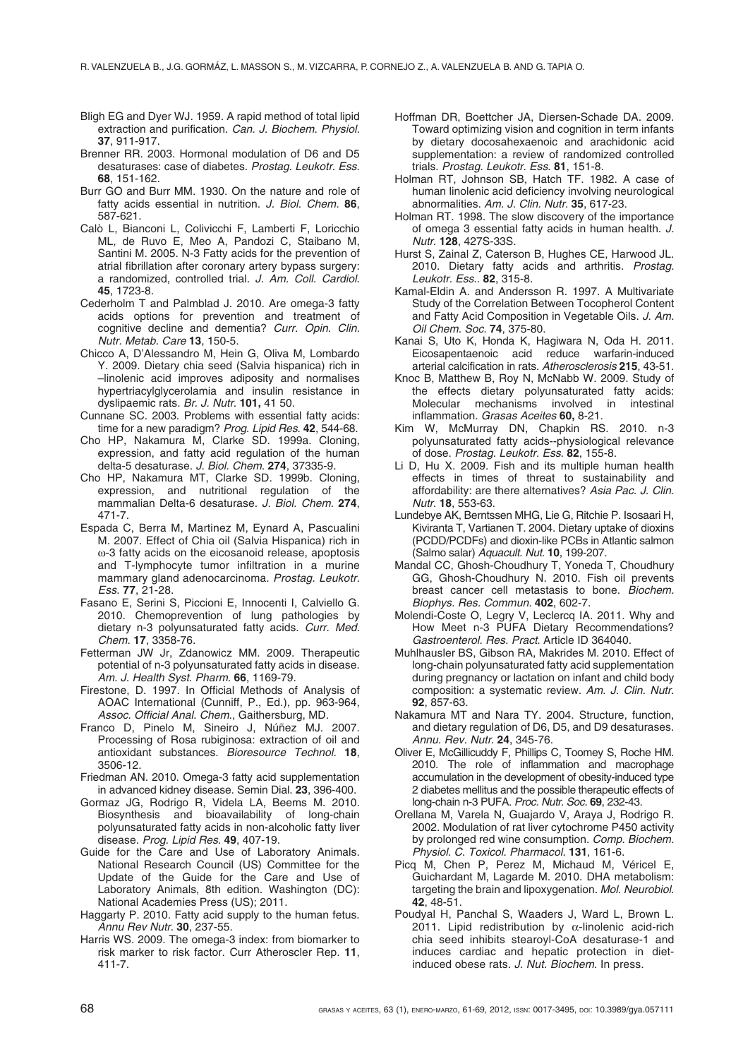- Bligh EG and Dyer WJ. 1959. A rapid method of total lipid extraction and purification. *Can. J. Biochem. Physiol.* **37**, 911-917.
- Brenner RR. 2003. Hormonal modulation of D6 and D5 desaturases: case of diabetes. *Prostag. Leukotr. Ess*. **68**, 151-162.
- Burr GO and Burr MM. 1930. On the nature and role of fatty acids essential in nutrition. *J. Biol. Chem.* **86**, 587-621.
- Calò L, Bianconi L, Colivicchi F, Lamberti F, Loricchio ML, de Ruvo E, Meo A, Pandozi C, Staibano M, Santini M. 2005. N-3 Fatty acids for the prevention of atrial fibrillation after coronary artery bypass surgery: a randomized, controlled trial. *J. Am. Coll. Cardiol*. **45**, 1723-8.
- Cederholm T and Palmblad J. 2010. Are omega-3 fatty acids options for prevention and treatment of cognitive decline and dementia? *Curr. Opin. Clin. Nutr. Metab. Care* **13**, 150-5.
- Chicco A, D'Alessandro M, Hein G, Oliva M, Lombardo Y. 2009. Dietary chia seed (Salvia hispanica) rich in –linolenic acid improves adiposity and normalises hypertriacylglycerolamia and insulin resistance in dyslipaemic rats. *Br. J. Nutr*. **101,** 41 50.
- Cunnane SC. 2003. Problems with essential fatty acids: time for a new paradigm? *Prog. Lipid Res.* **42**, 544-68.
- Cho HP, Nakamura M, Clarke SD. 1999a. Cloning, expression, and fatty acid regulation of the human delta-5 desaturase. *J. Biol. Chem*. **274**, 37335-9.
- Cho HP, Nakamura MT, Clarke SD. 1999b. Cloning, expression, and nutritional regulation of the mammalian Delta-6 desaturase. *J. Biol. Chem.* **274**, 471-7.
- Espada C, Berra M, Martinez M, Eynard A, Pascualini M. 2007. Effect of Chia oil (Salvia Hispanica) rich in ω-3 fatty acids on the eicosanoid release, apoptosis and T-lymphocyte tumor infiltration in a murine mammary gland adenocarcinoma. *Prostag. Leukotr. Ess*. **77**, 21-28.
- Fasano E, Serini S, Piccioni E, Innocenti I, Calviello G. 2010. Chemoprevention of lung pathologies by dietary n-3 polyunsaturated fatty acids. *Curr. Med. Chem*. **17**, 3358-76.
- Fetterman JW Jr, Zdanowicz MM. 2009. Therapeutic potential of n-3 polyunsaturated fatty acids in disease. *Am. J. Health Syst. Pharm*. **66**, 1169-79.
- Firestone, D. 1997. In Official Methods of Analysis of AOAC International (Cunniff, P., Ed.), pp. 963-964, *Assoc. Official Anal. Chem*., Gaithersburg, MD.
- Franco D, Pinelo M, Sineiro J, Núñez MJ. 2007. Processing of Rosa rubiginosa: extraction of oil and antioxidant substances. *Bioresource Technol.* **18**, 3506-12.
- Friedman AN. 2010. Omega-3 fatty acid supplementation in advanced kidney disease. Semin Dial. **23**, 396-400.
- Gormaz JG, Rodrigo R, Videla LA, Beems M. 2010. Biosynthesis and bioavailability of long-chain polyunsaturated fatty acids in non-alcoholic fatty liver disease. *Prog. Lipid Res*. **49**, 407-19.
- Guide for the Care and Use of Laboratory Animals. National Research Council (US) Committee for the Update of the Guide for the Care and Use of Laboratory Animals, 8th edition. Washington (DC): National Academies Press (US); 2011.
- Haggarty P. 2010. Fatty acid supply to the human fetus. *Annu Rev Nutr.* **30**, 237-55.
- Harris WS. 2009. The omega-3 index: from biomarker to risk marker to risk factor. Curr Atheroscler Rep. **11**, 411-7.
- Hoffman DR, Boettcher JA, Diersen-Schade DA. 2009. Toward optimizing vision and cognition in term infants by dietary docosahexaenoic and arachidonic acid supplementation: a review of randomized controlled trials. *Prostag. Leukotr. Ess*. **81**, 151-8.
- Holman RT, Johnson SB, Hatch TF. 1982. A case of human linolenic acid deficiency involving neurological abnormalities. *Am. J. Clin. Nutr.* **35**, 617-23.
- Holman RT. 1998. The slow discovery of the importance of omega 3 essential fatty acids in human health. *J. Nutr*. **128**, 427S-33S.
- Hurst S, Zainal Z, Caterson B, Hughes CE, Harwood JL. 2010. Dietary fatty acids and arthritis. *Prostag. Leukotr. Ess*.. **82**, 315-8.
- Kamal-Eldin A. and Andersson R. 1997. A Multivariate Study of the Correlation Between Tocopherol Content and Fatty Acid Composition in Vegetable Oils. *J. Am. Oil Chem. Soc.* **74**, 375-80.
- Kanai S, Uto K, Honda K, Hagiwara N, Oda H. 2011. Eicosapentaenoic acid reduce warfarin-induced arterial calcification in rats. *Atherosclerosis* **215**, 43-51.
- Knoc B, Matthew B, Roy N, McNabb W. 2009. Study of the effects dietary polyunsaturated fatty acids: Molecular mechanisms involved in intestinal inflammation. *Grasas Aceites* **60,** 8-21.
- Kim W, McMurray DN, Chapkin RS. 2010. n-3 polyunsaturated fatty acids--physiological relevance of dose. *Prostag. Leukotr. Ess*. **82**, 155-8.
- Li D, Hu X. 2009. Fish and its multiple human health effects in times of threat to sustainability and affordability: are there alternatives? *Asia Pac. J. Clin. Nutr.* **18**, 553-63.
- Lundebye AK, Berntssen MHG, Lie G, Ritchie P. Isosaari H, Kiviranta T, Vartianen T. 2004. Dietary uptake of dioxins (PCDD/PCDFs) and dioxin-like PCBs in Atlantic salmon (Salmo salar) *Aquacult. Nut*. **10**, 199-207.
- Mandal CC, Ghosh-Choudhury T, Yoneda T, Choudhury GG, Ghosh-Choudhury N. 2010. Fish oil prevents breast cancer cell metastasis to bone. *Biochem. Biophys. Res. Commun.* **402**, 602-7.
- Molendi-Coste O, Legry V, Leclercq IA. 2011. Why and How Meet n-3 PUFA Dietary Recommendations? *Gastroenterol. Res. Pract*. Article ID 364040.
- Muhlhausler BS, Gibson RA, Makrides M. 2010. Effect of long-chain polyunsaturated fatty acid supplementation during pregnancy or lactation on infant and child body composition: a systematic review. *Am. J. Clin. Nutr*. **92**, 857-63.
- Nakamura MT and Nara TY. 2004. Structure, function, and dietary regulation of D6, D5, and D9 desaturases. *Annu. Rev. Nutr*. **24**, 345-76.
- Oliver E, McGillicuddy F, Phillips C, Toomey S, Roche HM. 2010. The role of inflammation and macrophage accumulation in the development of obesity-induced type 2 diabetes mellitus and the possible therapeutic effects of long-chain n-3 PUFA. *Proc. Nutr. Soc.* **69**, 232-43.
- Orellana M, Varela N, Guajardo V, Araya J, Rodrigo R. 2002. Modulation of rat liver cytochrome P450 activity by prolonged red wine consumption. *Comp. Biochem. Physiol. C. Toxicol. Pharmacol.* **131**, 161-6.
- Picq M, Chen P, Perez M, Michaud M, Véricel E, Guichardant M, Lagarde M. 2010. DHA metabolism: targeting the brain and lipoxygenation. *Mol. Neurobiol*. **42**, 48-51.
- Poudyal H, Panchal S, Waaders J, Ward L, Brown L. 2011. Lipid redistribution by  $\alpha$ -linolenic acid-rich chia seed inhibits stearoyl-CoA desaturase-1 and induces cardiac and hepatic protection in dietinduced obese rats. *J. Nut. Biochem*. In press.